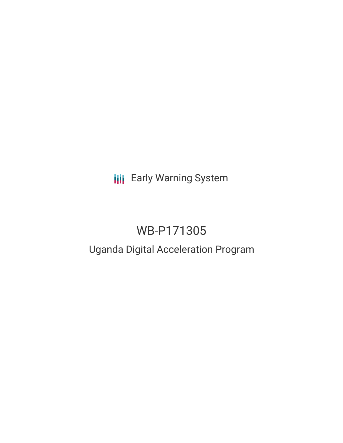## **III** Early Warning System

# WB-P171305

### Uganda Digital Acceleration Program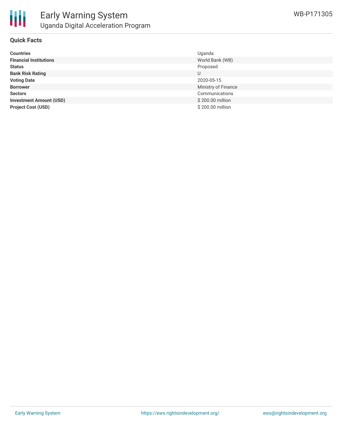

#### **Quick Facts**

| <b>Countries</b>               | Uganda              |
|--------------------------------|---------------------|
| <b>Financial Institutions</b>  | World Bank (WB)     |
| <b>Status</b>                  | Proposed            |
| <b>Bank Risk Rating</b>        | U                   |
| <b>Voting Date</b>             | 2020-05-15          |
| <b>Borrower</b>                | Ministry of Finance |
| <b>Sectors</b>                 | Communications      |
| <b>Investment Amount (USD)</b> | \$200.00 million    |
| <b>Project Cost (USD)</b>      | \$200.00 million    |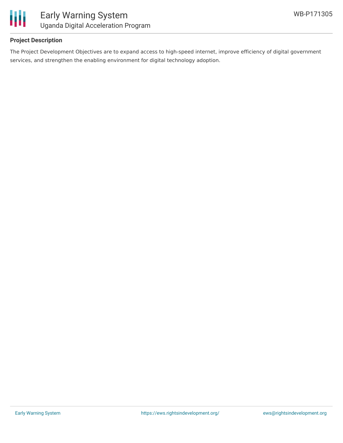

#### **Project Description**

The Project Development Objectives are to expand access to high-speed internet, improve efficiency of digital government services, and strengthen the enabling environment for digital technology adoption.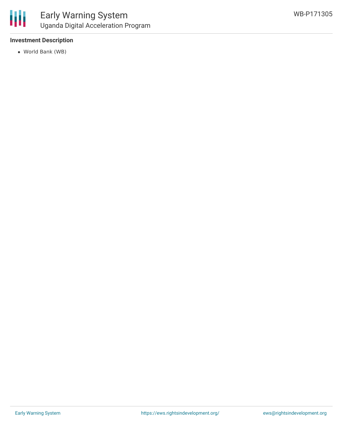

#### **Investment Description**

World Bank (WB)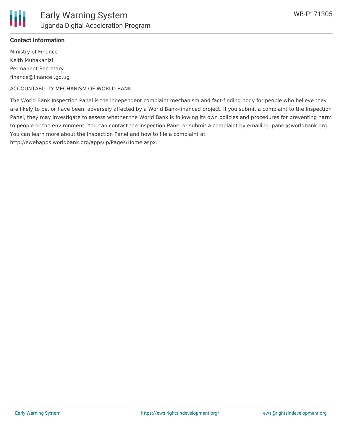

#### **Contact Information**

Ministry of Finance Keith Muhakanizi Permanent Secretary finance@finance..go.ug

ACCOUNTABILITY MECHANISM OF WORLD BANK

The World Bank Inspection Panel is the independent complaint mechanism and fact-finding body for people who believe they are likely to be, or have been, adversely affected by a World Bank-financed project. If you submit a complaint to the Inspection Panel, they may investigate to assess whether the World Bank is following its own policies and procedures for preventing harm to people or the environment. You can contact the Inspection Panel or submit a complaint by emailing ipanel@worldbank.org. You can learn more about the Inspection Panel and how to file a complaint at:

http://ewebapps.worldbank.org/apps/ip/Pages/Home.aspx.